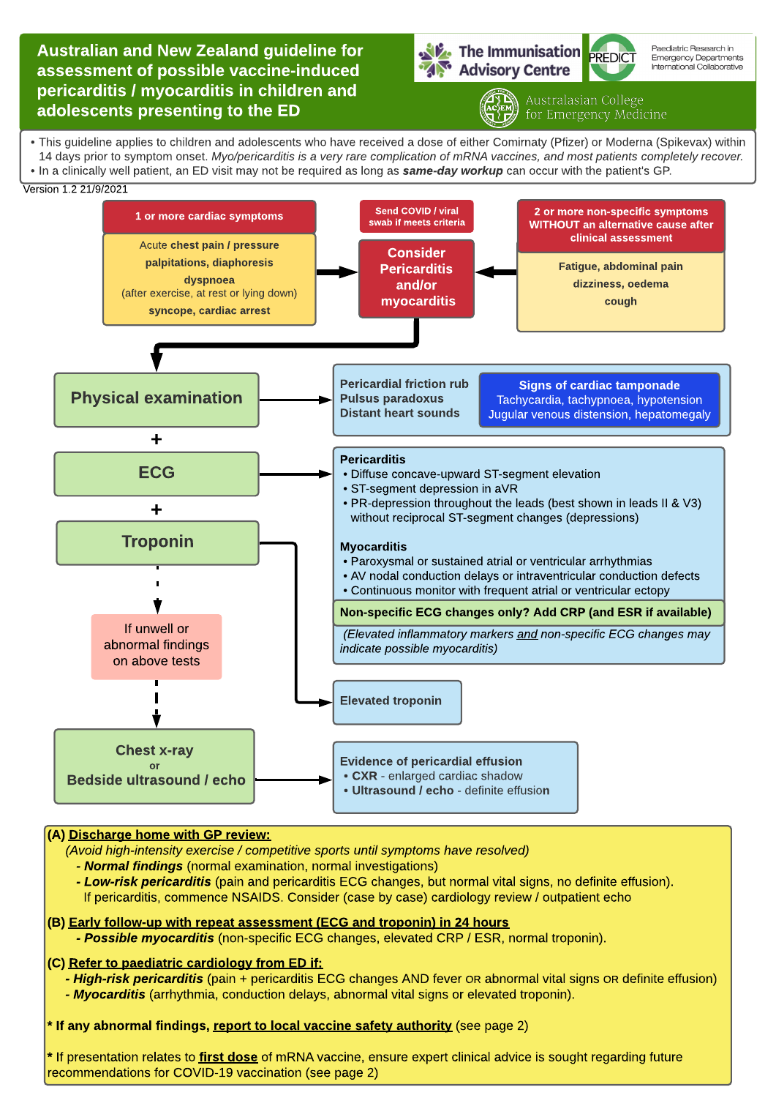Australian and New Zealand guideline for assessment of possible vaccine-induced pericarditis / myocarditis in children and adolescents presenting to the ED

The Immunisation PREDICT Advisory Centre



Paediatric Research in Emergency Departments<br>International Collaborative

Australasian College

- This guideline applies to children and adolescents who have received a dose of either Comirnaty (Pfizer) or Moderna (Spikevax) within 14 days prior to symptom onset. Myo/pericarditis is a very rare complication of mRNA vaccines, and most patients completely recover. - In a clinically well patient, an ED visit may not be required as long as **same-day workup** can occur with the patient's GP.





## (A) Discharge home with GP review:

**(Avoid high-intensity exercise / competitive sports until symptoms have resolved)**

**- Normal findings** (normal examination, normal investigations)

**- Low-risk pericarditis** (pain and pericarditis ECG changes, but normal vital signs, no definite effusion). If pericarditis, commence NSAIDS. Consider (case by case) cardiology review /outpatient echo

## (B) Early follow-up with repeat assessment (ECG and troponin) in 24 hours **- Possible myocarditis** (non-specific ECG changes, elevated CRP / ESR, normal troponin).

## (C) Refer to paediatric cardiology from ED if:

**- High-risk pericarditis** (pain + pericarditis ECG changes AND fever OR abnormal vital signs OR definite effusion) **- Myocarditis** (arrhythmia, conduction delays, abnormal vital signs or elevated troponin).

\* If any abnormal findings, report to local vaccine safety authority (see page 2)

\* If presentation relates to first dose of mRNA vaccine, ensure expert clinical advice is sought regarding future recommendations for COVID-19 vaccination (see page 2)